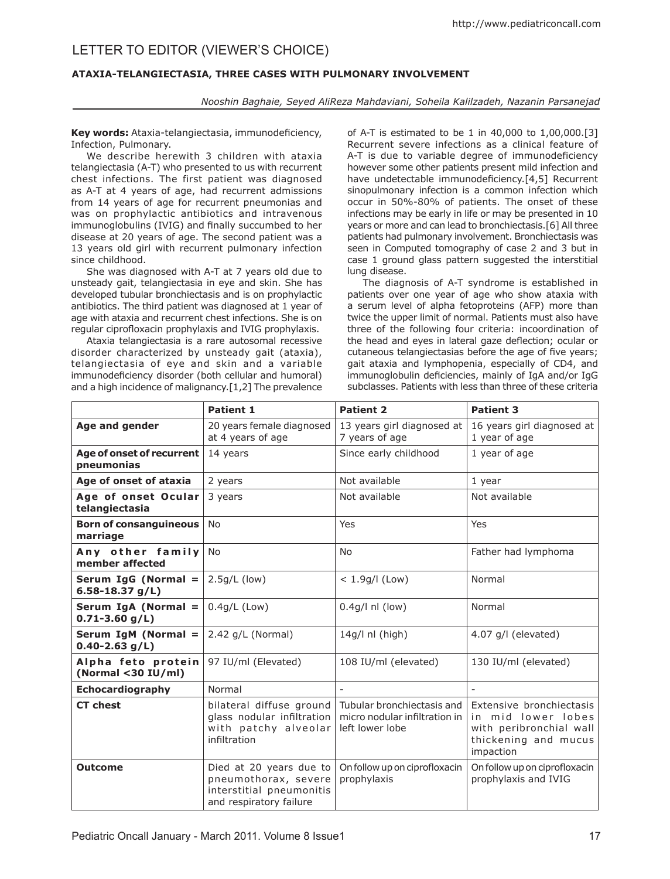# Letter to editor (Viewer's Choice)

## **ATAXIA-TELANGIECTASIA, THREE CASES WITH PULMONARY INVOLVEMENT**

### *Nooshin Baghaie, Seyed AliReza Mahdaviani, Soheila Kalilzadeh, Nazanin Parsanejad*

**Key words:** Ataxia-telangiectasia, immunodeficiency, Infection, Pulmonary.

We describe herewith 3 children with ataxia telangiectasia (A-T) who presented to us with recurrent chest infections. The first patient was diagnosed as A-T at 4 years of age, had recurrent admissions from 14 years of age for recurrent pneumonias and was on prophylactic antibiotics and intravenous immunoglobulins (IVIG) and finally succumbed to her disease at 20 years of age. The second patient was a 13 years old girl with recurrent pulmonary infection since childhood.

She was diagnosed with A-T at 7 years old due to unsteady gait, telangiectasia in eye and skin. She has developed tubular bronchiectasis and is on prophylactic antibiotics. The third patient was diagnosed at 1 year of age with ataxia and recurrent chest infections. She is on regular ciprofloxacin prophylaxis and IVIG prophylaxis.

Ataxia telangiectasia is a rare autosomal recessive disorder characterized by unsteady gait (ataxia), telangiectasia of eye and skin and a variable immunodeficiency disorder (both cellular and humoral) and a high incidence of malignancy.[1,2] The prevalence

of A-T is estimated to be 1 in 40,000 to 1,00,000.[3] Recurrent severe infections as a clinical feature of A-T is due to variable degree of immunodeficiency however some other patients present mild infection and have undetectable immunodeficiency.[4,5] Recurrent sinopulmonary infection is a common infection which occur in 50%-80% of patients. The onset of these infections may be early in life or may be presented in 10 years or more and can lead to bronchiectasis.[6] All three patients had pulmonary involvement. Bronchiectasis was seen in Computed tomography of case 2 and 3 but in case 1 ground glass pattern suggested the interstitial lung disease.

The diagnosis of A-T syndrome is established in patients over one year of age who show ataxia with a serum level of alpha fetoproteins (AFP) more than twice the upper limit of normal. Patients must also have three of the following four criteria: incoordination of the head and eyes in lateral gaze deflection; ocular or cutaneous telangiectasias before the age of five years; gait ataxia and lymphopenia, especially of CD4, and immunoglobulin deficiencies, mainly of IgA and/or IgG subclasses. Patients with less than three of these criteria

|                                           | <b>Patient 1</b>                                                                                       | <b>Patient 2</b>                                                               | <b>Patient 3</b>                                                                                               |
|-------------------------------------------|--------------------------------------------------------------------------------------------------------|--------------------------------------------------------------------------------|----------------------------------------------------------------------------------------------------------------|
| Age and gender                            | 20 years female diagnosed<br>at 4 years of age                                                         | 13 years girl diagnosed at<br>7 years of age                                   | 16 years girl diagnosed at<br>1 year of age                                                                    |
| Age of onset of recurrent<br>pneumonias   | 14 years                                                                                               | Since early childhood                                                          | 1 year of age                                                                                                  |
| Age of onset of ataxia                    | 2 years                                                                                                | Not available                                                                  | 1 year                                                                                                         |
| Age of onset Ocular<br>telangiectasia     | 3 years                                                                                                | Not available                                                                  | Not available                                                                                                  |
| <b>Born of consanguineous</b><br>marriage | <b>No</b>                                                                                              | Yes                                                                            | Yes                                                                                                            |
| Any other family<br>member affected       | <b>No</b>                                                                                              | <b>No</b>                                                                      | Father had lymphoma                                                                                            |
| Serum IgG (Normal =<br>6.58-18.37 $g/L$ ) | $2.5g/L$ (low)                                                                                         | $< 1.9g/$ (Low)                                                                | Normal                                                                                                         |
| Serum IgA (Normal =<br>$0.71 - 3.60$ g/L) | $0.4q/L$ (Low)                                                                                         | $0.4q/l$ nl (low)                                                              | Normal                                                                                                         |
| Serum IgM (Normal =<br>$0.40 - 2.63$ g/L) | $2.42$ g/L (Normal)                                                                                    | $14q/l$ nl (high)                                                              | $4.07$ g/l (elevated)                                                                                          |
| Alpha feto protein<br>(Normal <30 IU/ml)  | 97 IU/ml (Elevated)                                                                                    | 108 IU/ml (elevated)                                                           | 130 IU/ml (elevated)                                                                                           |
| Echocardiography                          | Normal                                                                                                 | $\overline{a}$                                                                 |                                                                                                                |
| <b>CT</b> chest                           | bilateral diffuse ground<br>glass nodular infiltration<br>with patchy alveolar<br>infiltration         | Tubular bronchiectasis and<br>micro nodular infiltration in<br>left lower lobe | Extensive bronchiectasis<br>in mid lower lobes<br>with peribronchial wall<br>thickening and mucus<br>impaction |
| <b>Outcome</b>                            | Died at 20 years due to<br>pneumothorax, severe<br>interstitial pneumonitis<br>and respiratory failure | On follow up on ciprofloxacin<br>prophylaxis                                   | On follow up on ciprofloxacin<br>prophylaxis and IVIG                                                          |